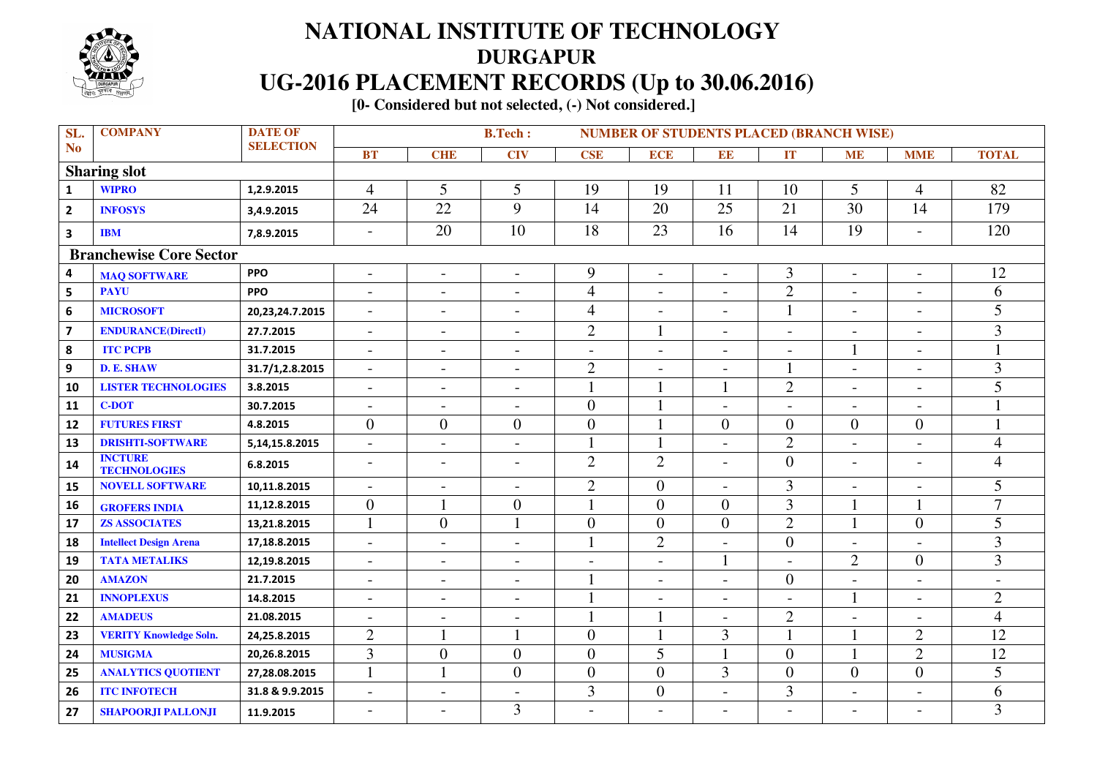

## **NATIONAL INSTITUTE OF TECHNOLOGY DURGAPUR UG-2016 PLACEMENT RECORDS (Up to 30.06.2016)**

 **[0- Considered but not selected, (-) Not considered.]** 

| SL.                            | <b>COMPANY</b>                        | <b>DATE OF</b>    |                          | <b>B.Tech:</b><br><b>NUMBER OF STUDENTS PLACED (BRANCH WISE)</b> |                          |                          |                          |                          |                          |                          |                          |                          |  |
|--------------------------------|---------------------------------------|-------------------|--------------------------|------------------------------------------------------------------|--------------------------|--------------------------|--------------------------|--------------------------|--------------------------|--------------------------|--------------------------|--------------------------|--|
| N <sub>o</sub>                 |                                       | <b>SELECTION</b>  | <b>BT</b>                | <b>CHE</b>                                                       | $\overline{\text{CIV}}$  | <b>CSE</b>               | <b>ECE</b>               | EE                       | IT                       | <b>ME</b>                | <b>MME</b>               | <b>TOTAL</b>             |  |
|                                | <b>Sharing slot</b>                   |                   |                          |                                                                  |                          |                          |                          |                          |                          |                          |                          |                          |  |
| $\mathbf{1}$                   | <b>WIPRO</b>                          | 1,2.9.2015        | $\overline{4}$           | 5                                                                | 5                        | 19                       | 19                       | 11                       | 10                       | 5                        | $\overline{4}$           | 82                       |  |
| $\overline{2}$                 | <b>INFOSYS</b>                        | 3,4.9.2015        | 24                       | $\overline{22}$                                                  | $\overline{9}$           | 14                       | 20                       | 25                       | 21                       | 30                       | 14                       | 179                      |  |
| $\overline{\mathbf{3}}$        | <b>IBM</b>                            | 7,8.9.2015        | $\overline{\phantom{0}}$ | 20                                                               | 10                       | 18                       | 23                       | 16                       | 14                       | 19                       | $\overline{a}$           | 120                      |  |
| <b>Branchewise Core Sector</b> |                                       |                   |                          |                                                                  |                          |                          |                          |                          |                          |                          |                          |                          |  |
| $\overline{\mathbf{4}}$        | <b>MAQ SOFTWARE</b>                   | <b>PPO</b>        | $\overline{\phantom{a}}$ | $\overline{\phantom{a}}$                                         | $\blacksquare$           | 9                        | $\overline{\phantom{a}}$ | $\overline{\phantom{a}}$ | 3                        | $\overline{\phantom{a}}$ | $\overline{\phantom{a}}$ | 12                       |  |
| $\overline{\mathbf{5}}$        | <b>PAYU</b>                           | <b>PPO</b>        |                          | $\overline{a}$                                                   | $\overline{a}$           | $\overline{4}$           | $\overline{a}$           |                          | $\overline{2}$           | $\overline{a}$           | $\overline{a}$           | 6                        |  |
| 6                              | <b>MICROSOFT</b>                      | 20,23,24.7.2015   |                          | $\overline{\phantom{a}}$                                         | $\overline{\phantom{0}}$ | $\overline{4}$           | $\overline{\phantom{0}}$ | $\overline{\phantom{0}}$ | $\mathbf{1}$             | $\overline{a}$           | $\overline{\phantom{a}}$ | 5                        |  |
| $\overline{\mathbf{z}}$        | <b>ENDURANCE(DirectI)</b>             | 27.7.2015         | $\overline{a}$           | $\blacksquare$                                                   | $\blacksquare$           | $\overline{2}$           |                          | $\sim$                   | $\overline{a}$           | $\overline{a}$           | $\blacksquare$           | 3                        |  |
| 8                              | <b>ITC PCPB</b>                       | 31.7.2015         | $\blacksquare$           | $\overline{\phantom{a}}$                                         | $\overline{\phantom{0}}$ | $\overline{\phantom{a}}$ | L,                       | $\overline{\phantom{0}}$ |                          | $\mathbf{1}$             | $\overline{\phantom{a}}$ |                          |  |
| $\overline{9}$                 | <b>D. E. SHAW</b>                     | 31.7/1,2.8.2015   | $\overline{\phantom{a}}$ | $\blacksquare$                                                   | $\overline{\phantom{a}}$ | $\mathfrak{2}$           | $\overline{\phantom{a}}$ | $\overline{\phantom{a}}$ |                          | $\overline{\phantom{a}}$ | $\overline{\phantom{a}}$ | 3                        |  |
| 10                             | <b>LISTER TECHNOLOGIES</b>            | 3.8.2015          | $\overline{a}$           | $\blacksquare$                                                   | $\blacksquare$           | $\mathbf{1}$             |                          |                          | $\overline{2}$           | $\blacksquare$           | $\blacksquare$           | 5                        |  |
| 11                             | <b>C-DOT</b>                          | 30.7.2015         | $\overline{\phantom{0}}$ | $\overline{\phantom{0}}$                                         |                          | $\overline{0}$           |                          | $\overline{\phantom{0}}$ |                          | $\overline{a}$           | $\overline{\phantom{a}}$ |                          |  |
| 12                             | <b>FUTURES FIRST</b>                  | 4.8.2015          | $\overline{0}$           | $\overline{0}$                                                   | $\overline{0}$           | $\overline{0}$           |                          | $\overline{0}$           | $\overline{0}$           | $\overline{0}$           | $\overline{0}$           |                          |  |
| 13                             | <b>DRISHTI-SOFTWARE</b>               | 5, 14, 15.8. 2015 | $\overline{a}$           | $\blacksquare$                                                   | $\overline{a}$           | $\mathbf{1}$             | $\mathbf{1}$             | $\blacksquare$           | $\overline{2}$           | $\overline{\phantom{0}}$ | $\overline{\phantom{a}}$ | $\overline{\mathcal{A}}$ |  |
| 14                             | <b>INCTURE</b><br><b>TECHNOLOGIES</b> | 6.8.2015          | $\blacksquare$           | $\overline{\phantom{a}}$                                         | $\overline{\phantom{0}}$ | $\overline{2}$           | $\overline{2}$           | $\sim$                   | $\overline{0}$           | $\overline{a}$           | $\overline{\phantom{a}}$ | $\overline{4}$           |  |
| 15                             | <b>NOVELL SOFTWARE</b>                | 10,11.8.2015      | $\blacksquare$           | $\overline{\phantom{0}}$                                         | $\overline{a}$           | $\overline{2}$           | $\theta$                 | $\overline{a}$           | 3                        | $\overline{a}$           | $\overline{\phantom{0}}$ | 5                        |  |
| 16                             | <b>GROFERS INDIA</b>                  | 11,12.8.2015      | $\overline{0}$           |                                                                  | $\overline{0}$           | 1                        | $\theta$                 | $\overline{0}$           | 3                        |                          |                          | 7                        |  |
| 17                             | <b>ZS ASSOCIATES</b>                  | 13,21.8.2015      | $\mathbf{1}$             | $\overline{0}$                                                   | $\mathbf{1}$             | $\overline{0}$           | $\Omega$                 | $\boldsymbol{0}$         | $\overline{2}$           | $\mathbf{1}$             | $\Omega$                 | 5                        |  |
| 18                             | <b>Intellect Design Arena</b>         | 17,18.8.2015      | $\overline{a}$           | $\overline{\phantom{a}}$                                         | $\overline{\phantom{0}}$ | $\mathbf{1}$             | $\overline{2}$           | $\overline{a}$           | $\overline{0}$           | $\overline{a}$           |                          | 3                        |  |
| 19                             | <b>TATA METALIKS</b>                  | 12,19.8.2015      | $\overline{\phantom{a}}$ | $\blacksquare$                                                   | $\overline{\phantom{a}}$ | $\overline{\phantom{a}}$ | $\overline{\phantom{a}}$ |                          | $\overline{\phantom{a}}$ | $\overline{2}$           | $\overline{0}$           | $\overline{3}$           |  |
| 20                             | <b>AMAZON</b>                         | 21.7.2015         | $\blacksquare$           | $\overline{\phantom{a}}$                                         | $\blacksquare$           | $\mathbf{1}$             | $\overline{\phantom{a}}$ | $\overline{\phantom{a}}$ | $\overline{0}$           | $\overline{a}$           | $\overline{\phantom{a}}$ |                          |  |
| 21                             | <b>INNOPLEXUS</b>                     | 14.8.2015         | $\overline{\phantom{a}}$ | $\overline{a}$                                                   | $\overline{\phantom{0}}$ | $\mathbf{1}$             | $\overline{a}$           | $\overline{\phantom{0}}$ |                          | $\mathbf{1}$             | $\overline{a}$           | $\overline{2}$           |  |
| 22                             | <b>AMADEUS</b>                        | 21.08.2015        | $\overline{\phantom{a}}$ | $\blacksquare$                                                   | $\overline{\phantom{a}}$ | $\mathbf{1}$             |                          | $\overline{\phantom{a}}$ | $\overline{2}$           | $\overline{\phantom{a}}$ | $\overline{\phantom{a}}$ | 4                        |  |
| 23                             | <b>VERITY Knowledge Soln.</b>         | 24,25.8.2015      | $\overline{2}$           |                                                                  |                          | $\overline{0}$           |                          | 3                        | 1                        | 1                        | $\overline{2}$           | $\overline{12}$          |  |
| 24                             | <b>MUSIGMA</b>                        | 20,26.8.2015      | 3                        | $\overline{0}$                                                   | $\boldsymbol{0}$         | $\mathbf{0}$             | 5                        | $\mathbf{1}$             | $\overline{0}$           | $\mathbf{1}$             | $\overline{2}$           | 12                       |  |
| 25                             | <b>ANALYTICS QUOTIENT</b>             | 27,28.08.2015     | $\mathbf{1}$             |                                                                  | $\overline{0}$           | $\mathbf{0}$             | $\overline{0}$           | 3                        | $\boldsymbol{0}$         | $\overline{0}$           | $\overline{0}$           | 5                        |  |
| 26                             | <b>ITC INFOTECH</b>                   | 31.8 & 9.9.2015   | $\overline{a}$           | $\overline{\phantom{a}}$                                         | $\overline{a}$           | 3                        | $\boldsymbol{0}$         | $\overline{a}$           | 3                        | $\overline{a}$           | $\overline{a}$           | 6                        |  |
| 27                             | <b>SHAPOORJI PALLONJI</b>             | 11.9.2015         | $\overline{\phantom{a}}$ | $\overline{\phantom{0}}$                                         | $\overline{3}$           | $\overline{\phantom{0}}$ | $\overline{\phantom{0}}$ | $\overline{\phantom{0}}$ |                          | $\overline{\phantom{0}}$ | $\overline{\phantom{a}}$ | $\overline{3}$           |  |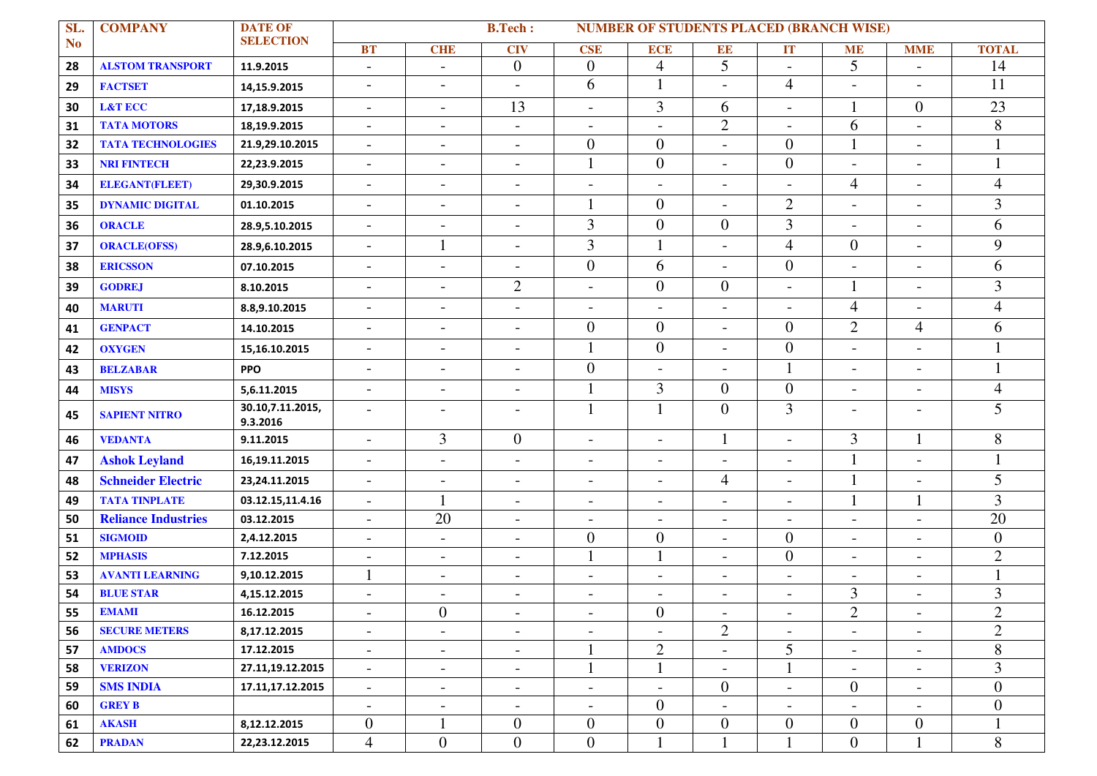| SL.       | <b>COMPANY</b>             | <b>DATE OF</b><br><b>SELECTION</b> | <b>B.Tech:</b><br><b>NUMBER OF STUDENTS PLACED (BRANCH WISE)</b> |                          |                          |                          |                          |                          |                          |                          |                          |                  |  |
|-----------|----------------------------|------------------------------------|------------------------------------------------------------------|--------------------------|--------------------------|--------------------------|--------------------------|--------------------------|--------------------------|--------------------------|--------------------------|------------------|--|
| <b>No</b> |                            |                                    | <b>BT</b>                                                        | <b>CHE</b>               | <b>CIV</b>               | <b>CSE</b>               | <b>ECE</b>               | <b>EE</b>                | IT                       | <b>ME</b>                | <b>MME</b>               | <b>TOTAL</b>     |  |
| 28        | <b>ALSTOM TRANSPORT</b>    | 11.9.2015                          | $\blacksquare$                                                   | $\overline{\phantom{a}}$ | $\boldsymbol{0}$         | $\overline{0}$           | $\overline{4}$           | 5                        | $\overline{\phantom{a}}$ | 5                        | $\overline{\phantom{a}}$ | 14               |  |
| 29        | <b>FACTSET</b>             | 14,15.9.2015                       | $\overline{\phantom{a}}$                                         | $\overline{\phantom{a}}$ | $\overline{\phantom{a}}$ | 6                        | $\mathbf{1}$             | $\overline{\phantom{a}}$ | $\overline{4}$           | $\blacksquare$           | $\overline{\phantom{a}}$ | 11               |  |
| 30        | <b>L&amp;T ECC</b>         | 17,18.9.2015                       | $\overline{\phantom{a}}$                                         | $\overline{\phantom{a}}$ | 13                       | $\overline{\phantom{a}}$ | 3                        | 6                        | $\overline{\phantom{a}}$ |                          | $\overline{0}$           | 23               |  |
| 31        | <b>TATA MOTORS</b>         | 18,19.9.2015                       | $\blacksquare$                                                   | $\overline{\phantom{a}}$ | $\overline{a}$           | $\overline{\phantom{a}}$ | $\overline{\phantom{0}}$ | $\overline{2}$           | $\overline{a}$           | 6                        | $\overline{a}$           | 8                |  |
| 32        | <b>TATA TECHNOLOGIES</b>   | 21.9,29.10.2015                    | $\overline{\phantom{a}}$                                         | $\blacksquare$           | $\overline{\phantom{a}}$ | $\boldsymbol{0}$         | $\boldsymbol{0}$         | $\overline{\phantom{a}}$ | $\boldsymbol{0}$         |                          | $\overline{\phantom{a}}$ |                  |  |
| 33        | <b>NRI FINTECH</b>         | 22,23.9.2015                       | $\overline{\phantom{a}}$                                         | $\overline{\phantom{a}}$ | $\overline{\phantom{0}}$ | $\mathbf{1}$             | $\overline{0}$           | $\blacksquare$           | $\overline{0}$           | $\overline{\phantom{a}}$ | $\overline{\phantom{a}}$ |                  |  |
| 34        | <b>ELEGANT(FLEET)</b>      | 29,30.9.2015                       | $\overline{\phantom{a}}$                                         | $\overline{\phantom{a}}$ | $\overline{\phantom{a}}$ | $\overline{\phantom{a}}$ | $\overline{\phantom{a}}$ | $\overline{\phantom{a}}$ | $\overline{a}$           | $\overline{4}$           | $\overline{\phantom{0}}$ | $\overline{4}$   |  |
| 35        | <b>DYNAMIC DIGITAL</b>     | 01.10.2015                         | $\blacksquare$                                                   | $\blacksquare$           | $\overline{\phantom{a}}$ |                          | $\overline{0}$           | $\overline{\phantom{a}}$ | $\mathbf{2}$             | $\overline{\phantom{a}}$ | $\overline{\phantom{0}}$ | 3                |  |
| 36        | <b>ORACLE</b>              | 28.9,5.10.2015                     | $\overline{\phantom{a}}$                                         | $\overline{\phantom{a}}$ | $\overline{\phantom{a}}$ | 3                        | $\overline{0}$           | $\overline{0}$           | 3                        | $\overline{\phantom{a}}$ | $\overline{\phantom{a}}$ | 6                |  |
| 37        | <b>ORACLE(OFSS)</b>        | 28.9,6.10.2015                     | $\overline{\phantom{a}}$                                         |                          | $\overline{a}$           | 3                        | $\mathbf{1}$             | $\overline{\phantom{a}}$ | $\overline{4}$           | $\overline{0}$           | $\overline{\phantom{a}}$ | 9                |  |
| 38        | <b>ERICSSON</b>            | 07.10.2015                         | $\blacksquare$                                                   | $\blacksquare$           | $\overline{a}$           | $\boldsymbol{0}$         | 6                        | $\overline{\phantom{a}}$ | $\overline{0}$           | $\overline{\phantom{a}}$ | $\overline{\phantom{0}}$ | 6                |  |
| 39        | <b>GODREJ</b>              | 8.10.2015                          | $\overline{\phantom{a}}$                                         | $\blacksquare$           | $\mathfrak{2}$           | $\overline{\phantom{a}}$ | $\boldsymbol{0}$         | $\boldsymbol{0}$         | $\overline{\phantom{a}}$ |                          | $\overline{\phantom{a}}$ | 3                |  |
| 40        | <b>MARUTI</b>              | 8.8,9.10.2015                      | $\overline{\phantom{a}}$                                         | $\blacksquare$           | $\overline{a}$           | $\overline{\phantom{a}}$ | $\overline{\phantom{a}}$ | $\blacksquare$           | $\overline{a}$           | $\overline{\mathcal{A}}$ | $\overline{\phantom{0}}$ | $\overline{4}$   |  |
| 41        | <b>GENPACT</b>             | 14.10.2015                         | $\overline{\phantom{a}}$                                         | $\blacksquare$           | $\overline{\phantom{a}}$ | $\mathbf{0}$             | $\overline{0}$           | $\overline{\phantom{a}}$ | $\overline{0}$           | $\overline{2}$           | $\overline{4}$           | 6                |  |
| 42        | <b>OXYGEN</b>              | 15,16.10.2015                      | $\overline{\phantom{a}}$                                         | $\blacksquare$           | $\overline{\phantom{a}}$ | $\mathbf{1}$             | $\overline{0}$           | $\overline{\phantom{a}}$ | $\overline{0}$           | $\blacksquare$           | $\overline{\phantom{a}}$ |                  |  |
| 43        | <b>BELZABAR</b>            | <b>PPO</b>                         | $\overline{\phantom{a}}$                                         | $\blacksquare$           | $\sim$                   | $\boldsymbol{0}$         | $\overline{a}$           | $\overline{a}$           | $\mathbf{1}$             | $\blacksquare$           | $\overline{\phantom{0}}$ |                  |  |
| 44        | <b>MISYS</b>               | 5,6.11.2015                        | $\blacksquare$                                                   | $\overline{\phantom{a}}$ | $\overline{\phantom{a}}$ | 1                        | 3                        | $\overline{0}$           | $\overline{0}$           | $\overline{\phantom{a}}$ | $\overline{\phantom{0}}$ | $\overline{4}$   |  |
| 45        | <b>SAPIENT NITRO</b>       | 30.10,7.11.2015,<br>9.3.2016       | $\overline{\phantom{a}}$                                         | $\overline{\phantom{a}}$ | $\overline{a}$           |                          | $\mathbf{1}$             | $\mathbf{0}$             | 3                        | $\overline{\phantom{a}}$ | $\overline{\phantom{a}}$ | 5                |  |
| 46        | <b>VEDANTA</b>             | 9.11.2015                          | $\overline{a}$                                                   | $\overline{3}$           | $\boldsymbol{0}$         | $\overline{\phantom{a}}$ | $\overline{a}$           | $\mathbf{1}$             | $\overline{a}$           | 3                        |                          | 8                |  |
| 47        | <b>Ashok Leyland</b>       | 16,19.11.2015                      | $\overline{\phantom{a}}$                                         | $\blacksquare$           | $\overline{\phantom{a}}$ | $\overline{\phantom{a}}$ | $\overline{\phantom{a}}$ | $\overline{\phantom{a}}$ | $\overline{\phantom{a}}$ | 1                        | $\blacksquare$           |                  |  |
| 48        | <b>Schneider Electric</b>  | 23,24.11.2015                      | $\overline{\phantom{a}}$                                         | $\overline{\phantom{a}}$ | $\overline{\phantom{a}}$ | $\blacksquare$           | $\overline{\phantom{a}}$ | $\overline{4}$           | $\overline{\phantom{a}}$ | 1                        | $\overline{\phantom{a}}$ | 5                |  |
| 49        | <b>TATA TINPLATE</b>       | 03.12.15,11.4.16                   | $\overline{\phantom{a}}$                                         |                          | $\overline{\phantom{a}}$ | $\overline{\phantom{a}}$ | $\overline{\phantom{a}}$ | $\overline{\phantom{a}}$ | $\overline{\phantom{a}}$ |                          |                          | 3                |  |
| 50        | <b>Reliance Industries</b> | 03.12.2015                         | $\overline{\phantom{a}}$                                         | 20                       | $\blacksquare$           | $\overline{\phantom{a}}$ | $\overline{\phantom{a}}$ | $\overline{\phantom{a}}$ | $\overline{\phantom{a}}$ | $\overline{\phantom{a}}$ | $\overline{\phantom{a}}$ | 20               |  |
| 51        | <b>SIGMOID</b>             | 2,4.12.2015                        | $\overline{\phantom{a}}$                                         | $\blacksquare$           | $\overline{\phantom{a}}$ | $\overline{0}$           | $\boldsymbol{0}$         | $\overline{\phantom{a}}$ | $\boldsymbol{0}$         | $\blacksquare$           | $\overline{\phantom{0}}$ | $\overline{0}$   |  |
| 52        | <b>MPHASIS</b>             | 7.12.2015                          | $\overline{a}$                                                   | $\overline{\phantom{a}}$ | $\overline{a}$           | 1                        | $\mathbf{1}$             | $\blacksquare$           | $\boldsymbol{0}$         | $\overline{\phantom{a}}$ | $\overline{\phantom{0}}$ | $\overline{2}$   |  |
| 53        | <b>AVANTI LEARNING</b>     | 9,10.12.2015                       |                                                                  | $\blacksquare$           | $\blacksquare$           | $\overline{\phantom{a}}$ | $\qquad \qquad -$        | $\blacksquare$           | $\blacksquare$           | $\overline{\phantom{a}}$ | $\overline{\phantom{a}}$ |                  |  |
| 54        | <b>BLUE STAR</b>           | 4,15.12.2015                       | $\overline{\phantom{0}}$                                         | $\overline{\phantom{a}}$ | $\overline{\phantom{a}}$ | $\overline{\phantom{a}}$ | $\overline{\phantom{a}}$ | $\overline{\phantom{a}}$ | $\overline{\phantom{a}}$ | 3                        | $\overline{\phantom{0}}$ | 3                |  |
| 55        | <b>EMAMI</b>               | 16.12.2015                         | $\overline{\phantom{a}}$                                         | $\boldsymbol{0}$         | $\overline{\phantom{a}}$ | $\overline{\phantom{a}}$ | $\boldsymbol{0}$         | $\blacksquare$           | $\overline{\phantom{a}}$ | $\overline{c}$           | $\blacksquare$           | $\mathbf{2}$     |  |
| 56        | <b>SECURE METERS</b>       | 8,17.12.2015                       | $\blacksquare$                                                   | $\overline{\phantom{a}}$ | $\blacksquare$           | $\overline{\phantom{a}}$ | $\overline{\phantom{a}}$ | $\overline{2}$           | $\overline{\phantom{a}}$ | $\blacksquare$           | $\overline{\phantom{a}}$ | $\overline{2}$   |  |
| 57        | <b>AMDOCS</b>              | 17.12.2015                         | $\overline{\phantom{a}}$                                         | $\overline{\phantom{a}}$ | $\overline{\phantom{0}}$ |                          | $\mathfrak{2}$           | $\overline{\phantom{a}}$ | 5                        | $\overline{\phantom{a}}$ | $\overline{\phantom{a}}$ | 8                |  |
| 58        | <b>VERIZON</b>             | 27.11,19.12.2015                   | $\overline{\phantom{a}}$                                         | $\blacksquare$           | $\overline{\phantom{a}}$ | $\mathbf{1}$             | $\mathbf{1}$             | $\overline{\phantom{a}}$ | $\mathbf{1}$             | $\blacksquare$           | $\blacksquare$           | $\overline{3}$   |  |
| 59        | <b>SMS INDIA</b>           | 17.11,17.12.2015                   | $\overline{\phantom{a}}$                                         | $\blacksquare$           | $\blacksquare$           | $\overline{\phantom{a}}$ | $\overline{\phantom{a}}$ | $\overline{0}$           | $\overline{\phantom{a}}$ | $\overline{0}$           | $\overline{\phantom{a}}$ | $\overline{0}$   |  |
| 60        | <b>GREY B</b>              |                                    | $\blacksquare$                                                   | $\overline{\phantom{a}}$ | $\overline{\phantom{a}}$ | $\overline{\phantom{a}}$ | $\boldsymbol{0}$         | $\overline{\phantom{a}}$ | $\overline{\phantom{a}}$ | $\blacksquare$           | $\blacksquare$           | $\boldsymbol{0}$ |  |
| 61        | <b>AKASH</b>               | 8,12.12.2015                       | $\mathbf{0}$                                                     |                          | $\boldsymbol{0}$         | $\boldsymbol{0}$         | $\boldsymbol{0}$         | $\boldsymbol{0}$         | $\overline{0}$           | $\overline{0}$           | $\overline{0}$           |                  |  |
| 62        | <b>PRADAN</b>              | 22,23.12.2015                      | $\overline{4}$                                                   | $\overline{0}$           | $\boldsymbol{0}$         | $\mathbf{0}$             | $\mathbf{1}$             | 1                        | $\mathbf{1}$             | $\boldsymbol{0}$         |                          | 8                |  |